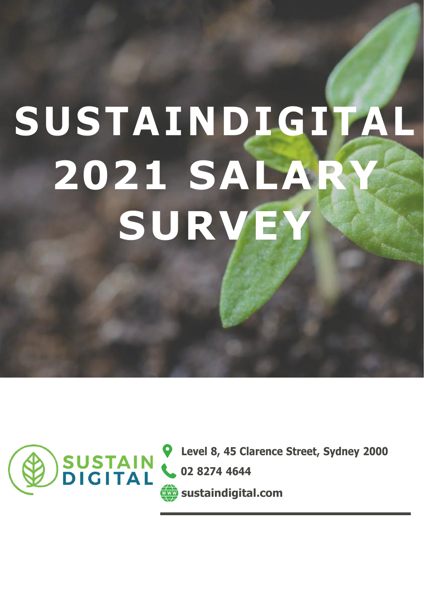# **SUSTA IND IG ITAL 2021 SALARY SURVEY**



**CONSTAIN & 1288, 45 Clarence Street, Sydney 2000**<br> **CONSTAIN** & 02 8274 4644 **02 8274 4644 sustaindigital.com**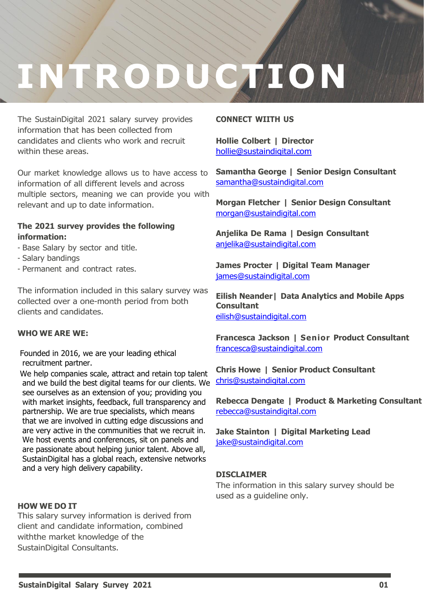### to date market information. **INTRODUCTION**

 $\mathcal{S}(\mathcal{S})$  are provided to provide the digital sector for  $\mathcal{S}(\mathcal{S})$  survey in the digital sector for 2021. We work with a range of large corporates to startup control to provide you with relevant and up the relevant and up the

The SustainDigital 2021 salary survey provides information that has been collected from candidates and clients who work and recruit within these areas.

Our market knowledge allows us to have access to information of all different levels and across multiple sectors, meaning we can provide you with relevant and up to date information.

#### **The 2021 survey provides the following information:**

- Base Salary by sector and title.
- Salary bandings
- Permanent and contract rates.

The information included in this salary survey was collected over a one-month period from both clients and candidates.

#### **WHO WE ARE WE:**

Founded in 2016, we are your leading ethical recruitment partner.

We help companies scale, attract and retain top talent and we build the best digital teams for our clients. We see ourselves as an extension of you; providing you with market insights, feedback, full transparency and partnership. We are true specialists, which means that we are involved in cutting edge discussions and are very active in the communities that we recruit in. We host events and conferences, sit on panels and are passionate about helping junior talent. Above all, SustainDigital has a global reach, extensive networks and a very high delivery capability.

#### **HOW WE DO IT**

This salary survey information is derived from client and candidate information, combined withthe market knowledge of the SustainDigital Consultants.

#### **CONNECT WIITH US**

**Hollie Colbert | Director** [hollie@sustaindigital.com](mailto:hollie@sustaindigital.com)

**Samantha George | Senior Design Consultant** [samantha@sustaindigital.com](mailto:samantha@sustaindigital.com)

**Morgan Fletcher | Senior Design Consultant** [morgan@sustaindigital.com](mailto:morgan@sustaindigital.com)

**Anjelika De Rama | Design Consultant** [anjelika@sustaindigital.com](mailto:anjelika@sustaindigital.com)

**James Procter | Digital Team Manager** [james@sustaindigital.com](mailto:james@sustaindigital.com)

**Eilish Neander| Data Analytics and Mobile Apps Consultant** [eilish@sustaindigital.com](mailto:eilish@sustaindigital.com)

**Francesca Jackson | Senior Product Consultant** [francesca@sustaindigital.com](mailto:francesca@sustaindigital.com)

**Chris Howe | Senior Product Consultant** [chris@sustaindigital.com](mailto:chris@sustaindigital.com)

**Rebecca Dengate | Product & Marketing Consultant** [rebecca@sustaindigital.com](mailto:rebecca@sustaindigital.com)

**Jake Stainton | Digital Marketing Lead** [jake@sustaindigital.com](mailto:jake@sustaindigital.com)

#### **DISCLAIMER**

The information in this salary survey should be used as a guideline only.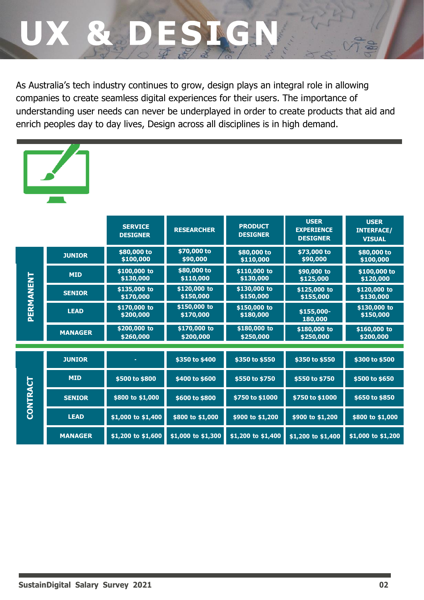### & DE

As Australia's tech industry continues to grow, design plays an integral role in allowing companies to create seamless digital experiences for their users. The importance of understanding user needs can never be underplayed in order to create products that aid and enrich peoples day to day lives, Design across all disciplines is in high demand.



|                 |                | <b>SERVICE</b><br><b>DESIGNER</b> | <b>RESEARCHER</b>         | <b>PRODUCT</b><br><b>DESIGNER</b> | <b>USER</b><br><b>EXPERIENCE</b><br><b>DESIGNER</b> | <b>USER</b><br><b>INTERFACE/</b><br><b>VISUAL</b> |
|-----------------|----------------|-----------------------------------|---------------------------|-----------------------------------|-----------------------------------------------------|---------------------------------------------------|
|                 | <b>JUNIOR</b>  | \$80,000 to<br>\$100,000          | \$70,000 to<br>\$90,000   | \$80,000 to<br>\$110,000          | \$73,000 to<br>\$90,000                             | \$80,000 to<br>\$100,000                          |
|                 | <b>MID</b>     | \$100,000 to<br>\$130,000         | \$80,000 to<br>\$110,000  | \$110,000 to<br>\$130,000         | \$90,000 to<br>\$125,000                            | \$100,000 to<br>\$120,000                         |
|                 | <b>SENIOR</b>  | \$135,000 to<br>\$170,000         | \$120,000 to<br>\$150,000 | \$130,000 to<br>\$150,000         | \$125,000 to<br>\$155,000                           | \$120,000 to<br>\$130,000                         |
| PERMANENT       | <b>LEAD</b>    | \$170,000 to<br>\$200,000         | \$150,000 to<br>\$170,000 | \$150,000 to<br>\$180,000         | \$155,000-<br>180,000                               | \$130,000 to<br>\$150,000                         |
|                 | <b>MANAGER</b> | \$200,000 to<br>\$260,000         | \$170,000 to<br>\$200,000 | \$180,000 to<br>\$250,000         | \$180,000 to<br>\$250,000                           | \$160,000 to<br>\$200,000                         |
|                 |                |                                   |                           |                                   |                                                     |                                                   |
|                 | <b>JUNIOR</b>  |                                   | \$350 to \$400            | \$350 to \$550                    | \$350 to \$550                                      | \$300 to \$500                                    |
|                 | <b>MID</b>     | \$500 to \$800                    | \$400 to \$600            | \$550 to \$750                    | \$550 to \$750                                      | \$500 to \$650                                    |
| <b>CONTRACT</b> | <b>SENIOR</b>  | \$800 to \$1,000                  | \$600 to \$800            | \$750 to \$1000                   | \$750 to \$1000                                     | \$650 to \$850                                    |
|                 | <b>LEAD</b>    | \$1,000 to \$1,400                | \$800 to \$1,000          | \$900 to \$1,200                  | \$900 to \$1,200                                    | \$800 to \$1,000                                  |
|                 | <b>MANAGER</b> | \$1,200 to \$1,600                | $$1,000$ to $$1,300$      | $$1,200$ to $$1,400$              | \$1,200 to \$1,400                                  | \$1,000 to \$1,200                                |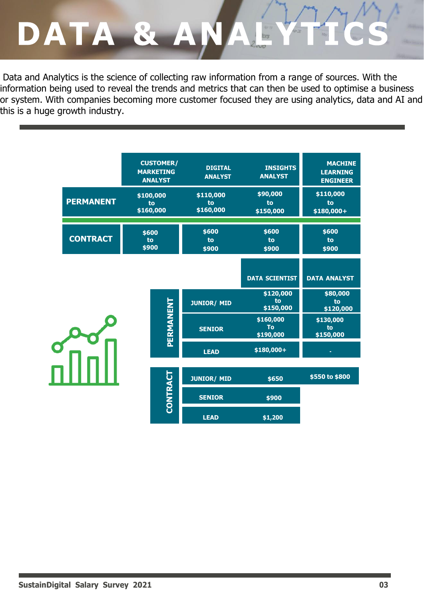### DATA & AN

Data and Analytics is the science of collecting raw information from a range of sources. With the information being used to reveal the trends and metrics that can then be used to optimise a business or system. With companies becoming more customer focused they are using analytics, data and AI and this is a huge growth industry.

|                  | <b>CUSTOMER/</b><br><b>MARKETING</b><br><b>ANALYST</b>                                                                            | <b>DIGITAL</b><br><b>ANALYST</b> | <b>INSIGHTS</b><br><b>ANALYST</b>   | <b>MACHINE</b><br><b>LEARNING</b><br><b>ENGINEER</b> |
|------------------|-----------------------------------------------------------------------------------------------------------------------------------|----------------------------------|-------------------------------------|------------------------------------------------------|
| <b>PERMANENT</b> | \$100,000<br>to<br>\$160,000                                                                                                      | \$110,000<br>to<br>\$160,000     | \$90,000<br>to<br>\$150,000         | \$110,000<br>to<br>\$180,000+                        |
| <b>CONTRACT</b>  | \$600<br>to<br>\$900                                                                                                              | \$600<br>to<br>\$900             | \$600<br>to<br>\$900                | \$600<br>to<br>\$900                                 |
|                  | PERMANENT<br><b>JUNIOR/ MID</b><br><b>SENIOR</b><br><b>LEAD</b><br>CONTRACT<br><b>JUNIOR/ MID</b><br><b>SENIOR</b><br><b>LEAD</b> | <b>DATA SCIENTIST</b>            | <b>DATA ANALYST</b>                 |                                                      |
|                  |                                                                                                                                   |                                  | \$120,000<br>to<br>\$150,000        | \$80,000<br>to<br>\$120,000                          |
|                  |                                                                                                                                   |                                  | \$160,000<br><b>To</b><br>\$190,000 | \$130,000<br>to<br>\$150,000                         |
|                  |                                                                                                                                   |                                  | \$180,000+                          |                                                      |
|                  |                                                                                                                                   | \$650<br>\$900<br>\$1,200        | \$550 to \$800                      |                                                      |
|                  |                                                                                                                                   |                                  |                                     |                                                      |
|                  |                                                                                                                                   |                                  |                                     |                                                      |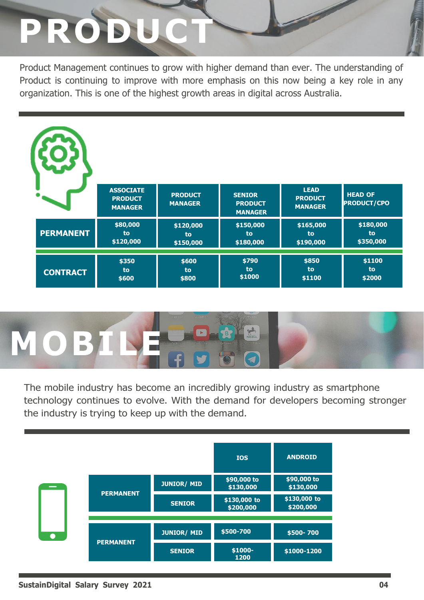## **PRODUCT**

Product Management continues to grow with higher demand than ever. The understanding of Product is continuing to improve with more emphasis on this now being a key role in any organization. This is one of the highest growth areas in digital across Australia.

|                  | <b>ASSOCIATE</b><br><b>PRODUCT</b><br><b>MANAGER</b> | <b>PRODUCT</b><br><b>MANAGER</b> | <b>SENIOR</b><br><b>PRODUCT</b><br><b>MANAGER</b> | <b>LEAD</b><br><b>PRODUCT</b><br><b>MANAGER</b> | <b>HEAD OF</b><br><b>PRODUCT/CPO</b> |
|------------------|------------------------------------------------------|----------------------------------|---------------------------------------------------|-------------------------------------------------|--------------------------------------|
| <b>PERMANENT</b> | \$80,000                                             | \$120,000                        | \$150,000                                         | \$165,000                                       | \$180,000                            |
|                  | to                                                   | to                               | to                                                | to                                              | to                                   |
|                  | \$120,000                                            | \$150,000                        | \$180,000                                         | \$190,000                                       | \$350,000                            |
| <b>CONTRACT</b>  | \$350                                                | \$600                            | \$790                                             | \$850                                           | \$1100                               |
|                  | to                                                   | to                               | to                                                | to                                              | to                                   |
|                  | \$600                                                | \$800                            | \$1000                                            | \$1100                                          | \$2000                               |



The mobile industry has become an incredibly growing industry as smartphone technology continues to evolve. With the demand for developers becoming stronger the industry is trying to keep up with the demand.